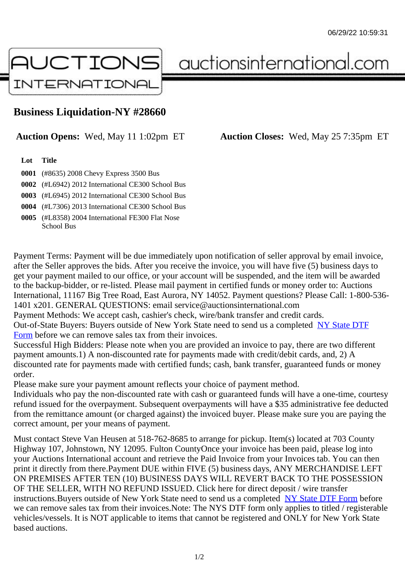## Business Liquidation-NY #28660

Auction Opens: Wed, May 11 1:02pm ET Auction Closes: Wed, May 25 7:35pm ET

Lot Title

0001 (#8635) 2008 Chevy Express 3500 Bus

0002 (#L6942) 2012 International CE300 School Bus

0003 (#L6945) 2012 International CE300 School Bus

0004 (#L7306) 2013 International CE300 School Bus

0005 (#L8358) 2004 International FE300 Flat Nose School Bus

Payment Terms: Payment will be due immediately upon notification of seller approval by email invoice, after the Seller approves the bids. After you receive the invoice, you will have five (5) business days to get your payment mailed to our office, or your account will be suspended, and the item will be awarded to the backup-bidder, or re-listed. Please mail payment in certified funds or money order to: Auctions International, 11167 Big Tree Road, East Aurora, NY 14052. Payment questions? Please Call: 1-800-53 1401 x201. GENERAL QUESTIONS: email service@auctionsinternational.com

Payment Methods: We accept cash, cashier's check, wire/bank transfer and credit cards.

Out-of-State Buyers: Buyers outside of New York State need to send us a com blestate DTF Form before we can remove sales tax from their invoices.

Successful High Bidders: Please note when you are provided an invoice to pay, there are two different payment amounts.1) A non-discounted rate for payments made with credit/de[bit cards, and](https://www.auctionsinternational.com/auxiliary/downloads/DTF_Form/dtf_fill_in.pdf), 2) A [disco](https://www.auctionsinternational.com/auxiliary/downloads/DTF_Form/dtf_fill_in.pdf)unted rate for payments made with certified funds; cash, bank transfer, guaranteed funds or mone order.

Please make sure your payment amount reflects your choice of payment method.

Individuals who pay the non-discounted rate with cash or guaranteed funds will have a one-time, courte refund issued for the overpayment. Subsequent overpayments will have a \$35 administrative fee deduc from the remittance amount (or charged against) the invoiced buyer. Please make sure you are paying correct amount, per your means of payment.

Must contact Steve Van Heusen at 518-762-8685 to arrange for pickup. Item(s) located at 703 County Highway 107, Johnstown, NY 12095. Fulton CountyOnce your invoice has been paid, please log into your Auctions International account and retrieve the Paid Invoice from your Invoices tab. You can then print it directly from there.Payment DUE within FIVE (5) business days, ANY MERCHANDISE LEFT ON PREMISES AFTER TEN (10) BUSINESS DAYS WILL REVERT BACK TO THE POSSESSION OF THE SELLER, WITH NO REFUND ISSUED. Click here for direct deposit / wire transfer instructions. Buyers outside of New York State need to send us a combleted ate DTF Form before we can remove sales tax from their invoices.Note: The NYS DTF form only applies to titled / registerabl vehicles/vessels. It is NOT applicable to items that cannot be registered and ONLY for New York State based auctions.